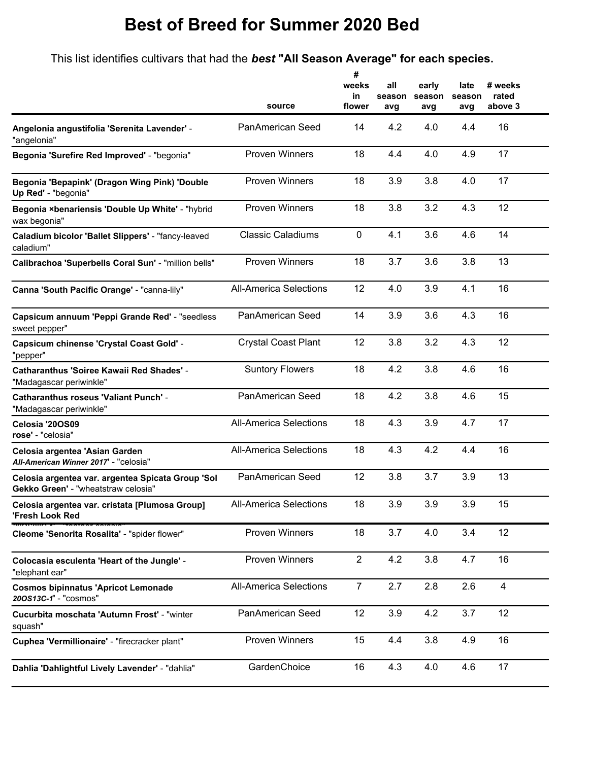This list identifies cultivars that had the *best* **"All Season Average" for each species.**

**#**

|                                                                                          | source                        | #<br>weeks<br>in<br>flower | all<br>season<br>avg | early<br>season<br>avg | late<br>season<br>avg | # weeks<br>rated<br>above 3 |
|------------------------------------------------------------------------------------------|-------------------------------|----------------------------|----------------------|------------------------|-----------------------|-----------------------------|
| Angelonia angustifolia 'Serenita Lavender' -<br>"angelonia"                              | PanAmerican Seed              | 14                         | 4.2                  | 4.0                    | 4.4                   | 16                          |
| Begonia 'Surefire Red Improved' - "begonia"                                              | <b>Proven Winners</b>         | 18                         | 4.4                  | 4.0                    | 4.9                   | 17                          |
| Begonia 'Bepapink' (Dragon Wing Pink) 'Double<br>Up Red' - "begonia"                     | <b>Proven Winners</b>         | 18                         | 3.9                  | 3.8                    | 4.0                   | 17                          |
| Begonia ×benariensis 'Double Up White' - "hybrid<br>wax begonia"                         | <b>Proven Winners</b>         | 18                         | 3.8                  | 3.2                    | 4.3                   | 12                          |
| Caladium bicolor 'Ballet Slippers' - "fancy-leaved<br>caladium"                          | <b>Classic Caladiums</b>      | 0                          | 4.1                  | 3.6                    | 4.6                   | 14                          |
| Calibrachoa 'Superbells Coral Sun' - "million bells"                                     | <b>Proven Winners</b>         | 18                         | 3.7                  | 3.6                    | 3.8                   | 13                          |
| Canna 'South Pacific Orange' - "canna-lily"                                              | <b>All-America Selections</b> | 12                         | 4.0                  | 3.9                    | 4.1                   | 16                          |
| Capsicum annuum 'Peppi Grande Red' - "seedless<br>sweet pepper"                          | <b>PanAmerican Seed</b>       | 14                         | 3.9                  | 3.6                    | 4.3                   | 16                          |
| Capsicum chinense 'Crystal Coast Gold' -<br>"pepper"                                     | <b>Crystal Coast Plant</b>    | 12                         | 3.8                  | 3.2                    | 4.3                   | 12                          |
| <b>Catharanthus 'Soiree Kawaii Red Shades' -</b><br>"Madagascar periwinkle"              | <b>Suntory Flowers</b>        | 18                         | 4.2                  | 3.8                    | 4.6                   | 16                          |
| <b>Catharanthus roseus 'Valiant Punch' -</b><br>"Madagascar periwinkle"                  | PanAmerican Seed              | 18                         | 4.2                  | 3.8                    | 4.6                   | 15                          |
| Celosia '20OS09<br>rose' - "celosia"                                                     | <b>All-America Selections</b> | 18                         | 4.3                  | 3.9                    | 4.7                   | 17                          |
| Celosia argentea 'Asian Garden<br>All-American Winner 2017' - "celosia"                  | <b>All-America Selections</b> | 18                         | 4.3                  | 4.2                    | 4.4                   | 16                          |
| Celosia argentea var. argentea Spicata Group 'Sol<br>Gekko Green' - "wheatstraw celosia" | PanAmerican Seed              | 12                         | 3.8                  | 3.7                    | 3.9                   | 13                          |
| Celosia argentea var. cristata [Plumosa Group]<br>'Fresh Look Red                        | <b>All-America Selections</b> | 18                         | 3.9                  | 3.9                    | 3.9                   | 15                          |
| Cleome 'Senorita Rosalita' - "spider flower"                                             | <b>Proven Winners</b>         | 18                         | 3.7                  | 4.0                    | 3.4                   | 12                          |
| Colocasia esculenta 'Heart of the Jungle' -<br>"elephant ear"                            | <b>Proven Winners</b>         | $\overline{2}$             | 4.2                  | 3.8                    | 4.7                   | 16                          |
| <b>Cosmos bipinnatus 'Apricot Lemonade</b><br>200S13C-1' - "cosmos"                      | <b>All-America Selections</b> | $\overline{7}$             | 2.7                  | 2.8                    | 2.6                   | 4                           |
| Cucurbita moschata 'Autumn Frost' - "winter<br>squash"                                   | PanAmerican Seed              | 12                         | 3.9                  | 4.2                    | 3.7                   | 12                          |
| Cuphea 'Vermillionaire' - "firecracker plant"                                            | <b>Proven Winners</b>         | 15                         | 4.4                  | 3.8                    | 4.9                   | 16                          |
| Dahlia 'Dahlightful Lively Lavender' - "dahlia"                                          | GardenChoice                  | 16                         | 4.3                  | 4.0                    | 4.6                   | 17                          |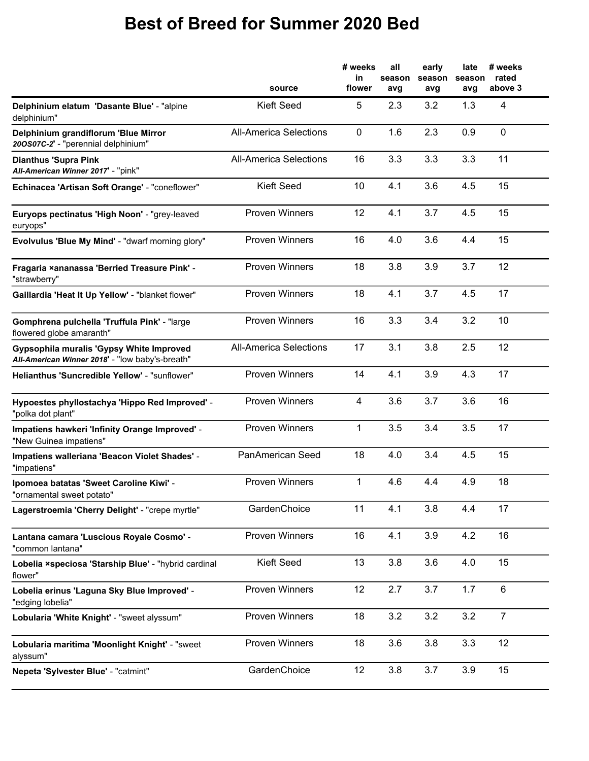|                                                                                             | source                        | # weeks<br>in<br>flower | all<br>season<br>avg | early<br>season<br>avg | late<br>season<br>avg | # weeks<br>rated<br>above 3 |
|---------------------------------------------------------------------------------------------|-------------------------------|-------------------------|----------------------|------------------------|-----------------------|-----------------------------|
| Delphinium elatum 'Dasante Blue' - "alpine<br>delphinium"                                   | <b>Kieft Seed</b>             | 5                       | 2.3                  | 3.2                    | 1.3                   | $\overline{4}$              |
| Delphinium grandiflorum 'Blue Mirror<br>200S07C-2' - "perennial delphinium"                 | <b>All-America Selections</b> | $\mathbf 0$             | 1.6                  | 2.3                    | 0.9                   | 0                           |
| <b>Dianthus 'Supra Pink</b><br>All-American Winner 2017' - "pink"                           | <b>All-America Selections</b> | 16                      | 3.3                  | 3.3                    | 3.3                   | 11                          |
| Echinacea 'Artisan Soft Orange' - "coneflower"                                              | <b>Kieft Seed</b>             | 10                      | 4.1                  | 3.6                    | 4.5                   | 15                          |
| Euryops pectinatus 'High Noon' - "grey-leaved<br>euryops"                                   | <b>Proven Winners</b>         | 12                      | 4.1                  | 3.7                    | 4.5                   | 15                          |
| Evolvulus 'Blue My Mind' - "dwarf morning glory"                                            | <b>Proven Winners</b>         | 16                      | 4.0                  | 3.6                    | 4.4                   | 15                          |
| Fragaria ×ananassa 'Berried Treasure Pink' -<br>"strawberry"                                | <b>Proven Winners</b>         | 18                      | 3.8                  | 3.9                    | 3.7                   | 12                          |
| Gaillardia 'Heat It Up Yellow' - "blanket flower"                                           | <b>Proven Winners</b>         | 18                      | 4.1                  | 3.7                    | 4.5                   | 17                          |
| Gomphrena pulchella 'Truffula Pink' - "large<br>flowered globe amaranth"                    | <b>Proven Winners</b>         | 16                      | 3.3                  | 3.4                    | 3.2                   | 10                          |
| Gypsophila muralis 'Gypsy White Improved<br>All-American Winner 2018' - "low baby's-breath" | <b>All-America Selections</b> | 17                      | 3.1                  | 3.8                    | 2.5                   | 12                          |
| <b>Helianthus 'Suncredible Yellow' - "sunflower"</b>                                        | <b>Proven Winners</b>         | 14                      | 4.1                  | 3.9                    | 4.3                   | 17                          |
| Hypoestes phyllostachya 'Hippo Red Improved' -<br>"polka dot plant"                         | <b>Proven Winners</b>         | $\overline{4}$          | 3.6                  | 3.7                    | 3.6                   | 16                          |
| Impatiens hawkeri 'Infinity Orange Improved' -<br>"New Guinea impatiens"                    | <b>Proven Winners</b>         | 1                       | 3.5                  | 3.4                    | 3.5                   | 17                          |
| Impatiens walleriana 'Beacon Violet Shades' -<br>"impatiens"                                | <b>PanAmerican Seed</b>       | 18                      | 4.0                  | 3.4                    | 4.5                   | 15                          |
| Ipomoea batatas 'Sweet Caroline Kiwi' -<br>"ornamental sweet potato"                        | <b>Proven Winners</b>         | 1                       | 4.6                  | 4.4                    | 4.9                   | 18                          |
| Lagerstroemia 'Cherry Delight' - "crepe myrtle"                                             | GardenChoice                  | 11                      | 4.1                  | 3.8                    | 4.4                   | 17                          |
| Lantana camara 'Luscious Royale Cosmo' -<br>"common lantana"                                | <b>Proven Winners</b>         | 16                      | 4.1                  | 3.9                    | 4.2                   | 16                          |
| Lobelia xspeciosa 'Starship Blue' - "hybrid cardinal<br>flower"                             | <b>Kieft Seed</b>             | 13                      | 3.8                  | 3.6                    | 4.0                   | 15                          |
| Lobelia erinus 'Laguna Sky Blue Improved' -<br>"edging lobelia"                             | Proven Winners                | 12                      | 2.7                  | 3.7                    | 1.7                   | 6                           |
| Lobularia 'White Knight' - "sweet alyssum"                                                  | <b>Proven Winners</b>         | 18                      | 3.2                  | 3.2                    | 3.2                   | $\overline{7}$              |
| Lobularia maritima 'Moonlight Knight' - "sweet<br>alyssum"                                  | <b>Proven Winners</b>         | 18                      | 3.6                  | 3.8                    | 3.3                   | 12                          |
| Nepeta 'Sylvester Blue' - "catmint"                                                         | GardenChoice                  | 12                      | 3.8                  | 3.7                    | 3.9                   | 15                          |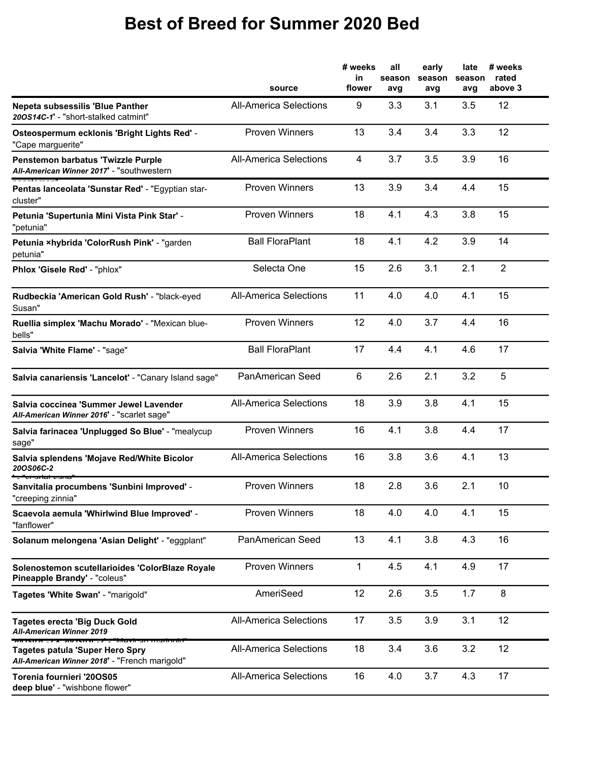|                                                                                         | source                        | # weeks<br>in<br>flower | all<br>season<br>avg | early<br>season<br>avg | late<br>season<br>avg | # weeks<br>rated<br>above 3 |
|-----------------------------------------------------------------------------------------|-------------------------------|-------------------------|----------------------|------------------------|-----------------------|-----------------------------|
| Nepeta subsessilis 'Blue Panther<br>200S14C-1' - "short-stalked catmint"                | <b>All-America Selections</b> | 9                       | 3.3                  | 3.1                    | 3.5                   | 12                          |
| Osteospermum ecklonis 'Bright Lights Red' -<br>"Cape marguerite"                        | <b>Proven Winners</b>         | 13                      | 3.4                  | 3.4                    | 3.3                   | 12                          |
| Penstemon barbatus 'Twizzle Purple<br>All-American Winner 2017' - "southwestern         | <b>All-America Selections</b> | 4                       | 3.7                  | 3.5                    | 3.9                   | 16                          |
| Pentas lanceolata 'Sunstar Red' - "Egyptian star-<br>cluster"                           | <b>Proven Winners</b>         | 13                      | 3.9                  | 3.4                    | 4.4                   | 15                          |
| Petunia 'Supertunia Mini Vista Pink Star' -<br>"petunia"                                | <b>Proven Winners</b>         | 18                      | 4.1                  | 4.3                    | 3.8                   | 15                          |
| Petunia xhybrida 'ColorRush Pink' - "garden<br>petunia"                                 | <b>Ball FloraPlant</b>        | 18                      | 4.1                  | 4.2                    | 3.9                   | 14                          |
| Phlox 'Gisele Red' - "phlox"                                                            | Selecta One                   | 15                      | 2.6                  | 3.1                    | 2.1                   | $\overline{2}$              |
| Rudbeckia 'American Gold Rush' - "black-eyed<br>Susan"                                  | <b>All-America Selections</b> | 11                      | 4.0                  | 4.0                    | 4.1                   | 15                          |
| Ruellia simplex 'Machu Morado' - "Mexican blue-<br>bells"                               | <b>Proven Winners</b>         | 12                      | 4.0                  | 3.7                    | 4.4                   | 16                          |
| Salvia 'White Flame' - "sage"                                                           | <b>Ball FloraPlant</b>        | 17                      | 4.4                  | 4.1                    | 4.6                   | 17                          |
| Salvia canariensis 'Lancelot' - "Canary Island sage"                                    | PanAmerican Seed              | 6                       | 2.6                  | 2.1                    | 3.2                   | 5                           |
| Salvia coccinea 'Summer Jewel Lavender<br>All-American Winner 2016' - "scarlet sage"    | <b>All-America Selections</b> | 18                      | 3.9                  | 3.8                    | 4.1                   | 15                          |
| Salvia farinacea 'Unplugged So Blue' - "mealycup<br>sage"                               | <b>Proven Winners</b>         | 16                      | 4.1                  | 3.8                    | 4.4                   | 17                          |
| Salvia splendens 'Mojave Red/White Bicolor<br><b>20OS06C-2</b>                          | <b>All-America Selections</b> | 16                      | 3.8                  | 3.6                    | 4.1                   | 13                          |
| Sanvitalia procumbens 'Sunbini Improved' -<br>"creeping zinnia"                         | <b>Proven Winners</b>         | 18                      | 2.8                  | 3.6                    | 2.1                   | 10                          |
| Scaevola aemula 'Whirlwind Blue Improved' -<br>"fanflower"                              | <b>Proven Winners</b>         | 18                      | 4.0                  | 4.0                    | 4.1                   | 15                          |
| Solanum melongena 'Asian Delight' - "eggplant"                                          | PanAmerican Seed              | 13                      | 4.1                  | 3.8                    | 4.3                   | 16                          |
| Solenostemon scutellarioides 'ColorBlaze Royale<br>Pineapple Brandy' - "coleus"         | <b>Proven Winners</b>         | $\mathbf{1}$            | 4.5                  | 4.1                    | 4.9                   | 17                          |
| Tagetes 'White Swan' - "marigold"                                                       | AmeriSeed                     | 12                      | 2.6                  | 3.5                    | 1.7                   | 8                           |
| <b>Tagetes erecta 'Big Duck Gold</b><br>All-American Winner 2019                        | <b>All-America Selections</b> | 17                      | 3.5                  | 3.9                    | 3.1                   | 12                          |
| <b>Tagetes patula 'Super Hero Spry</b><br>All-American Winner 2018' - "French marigold" | <b>All-America Selections</b> | 18                      | 3.4                  | 3.6                    | 3.2                   | 12                          |
| Torenia fournieri '20OS05<br>deep blue' - "wishbone flower"                             | <b>All-America Selections</b> | 16                      | 4.0                  | 3.7                    | 4.3                   | 17                          |